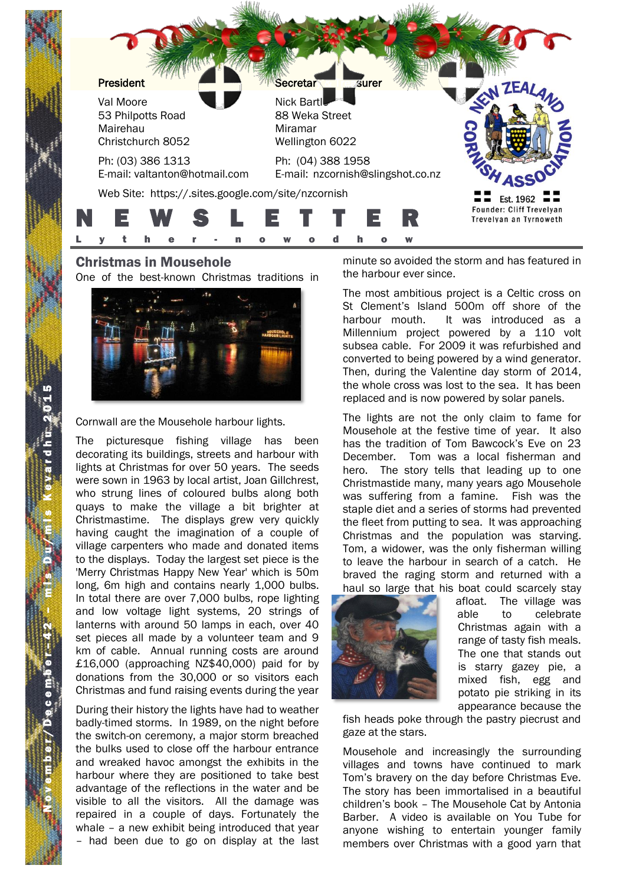

# Christmas in Mousehole

One of the best-known Christmas traditions in



Cornwall are the Mousehole harbour lights.

The picturesque fishing village has been decorating its buildings, streets and harbour with lights at Christmas for over 50 years. The seeds were sown in 1963 by local artist, Joan Gillchrest, who strung lines of coloured bulbs along both quays to make the village a bit brighter at Christmastime. The displays grew very quickly having caught the imagination of a couple of village carpenters who made and donated items to the displays. Today the largest set piece is the 'Merry Christmas Happy New Year' which is 50m long, 6m high and contains nearly 1,000 bulbs. In total there are over 7,000 bulbs, rope lighting and low voltage light systems, 20 strings of lanterns with around 50 lamps in each, over 40 set pieces all made by a volunteer team and 9 km of cable. Annual running costs are around £16,000 (approaching NZ\$40,000) paid for by donations from the 30,000 or so visitors each Christmas and fund raising events during the year

During their history the lights have had to weather badly-timed storms. In 1989, on the night before the switch-on ceremony, a major storm breached the bulks used to close off the harbour entrance and wreaked havoc amongst the exhibits in the harbour where they are positioned to take best advantage of the reflections in the water and be visible to all the visitors. All the damage was repaired in a couple of days. Fortunately the whale - a new exhibit being introduced that year – had been due to go on display at the last

minute so avoided the storm and has featured in the harbour ever since.

The most ambitious project is a Celtic cross on St Clement's Island 500m off shore of the harbour mouth. It was introduced as a Millennium project powered by a 110 volt subsea cable. For 2009 it was refurbished and converted to being powered by a wind generator. Then, during the Valentine day storm of 2014, the whole cross was lost to the sea. It has been replaced and is now powered by solar panels.

The lights are not the only claim to fame for Mousehole at the festive time of year. It also has the tradition of Tom Bawcock's Eve on 23 December. Tom was a local fisherman and hero. The story tells that leading up to one Christmastide many, many years ago Mousehole was suffering from a famine. Fish was the staple diet and a series of storms had prevented the fleet from putting to sea. It was approaching Christmas and the population was starving. Tom, a widower, was the only fisherman willing to leave the harbour in search of a catch. He braved the raging storm and returned with a haul so large that his boat could scarcely stay



afloat. The village was able to celebrate Christmas again with a range of tasty fish meals. The one that stands out is starry gazey pie, a mixed fish, egg and potato pie striking in its appearance because the

fish heads poke through the pastry piecrust and gaze at the stars.

Mousehole and increasingly the surrounding villages and towns have continued to mark Tom's bravery on the day before Christmas Eve. The story has been immortalised in a beautiful children's book – The Mousehole Cat by Antonia Barber. A video is available on You Tube for anyone wishing to entertain younger family members over Christmas with a good yarn that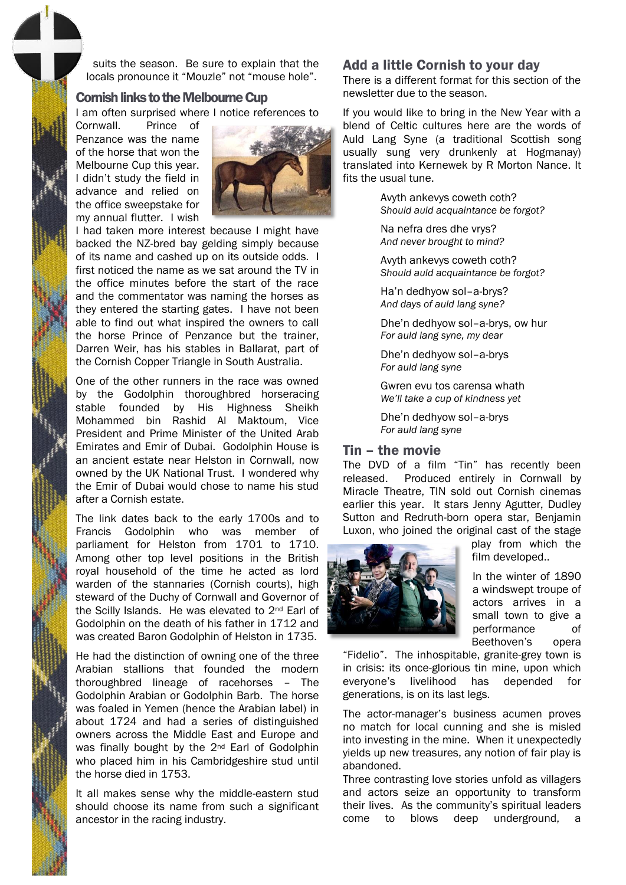suits the season. Be sure to explain that the locals pronounce it "Mouzle" not "mouse hole".

#### Cornish links to the Melbourne Cup

I am often surprised where I notice references to

Cornwall. Prince of Penzance was the name of the horse that won the Melbourne Cup this year. I didn't study the field in advance and relied on the office sweepstake for my annual flutter. I wish



I had taken more interest because I might have backed the NZ-bred bay gelding simply because of its name and cashed up on its outside odds. I first noticed the name as we sat around the TV in the office minutes before the start of the race and the commentator was naming the horses as they entered the starting gates. I have not been able to find out what inspired the owners to call the horse Prince of Penzance but the trainer, Darren Weir, has his stables in Ballarat, part of the Cornish Copper Triangle in South Australia.

One of the other runners in the race was owned by the Godolphin thoroughbred horseracing stable founded by His Highness Sheikh Mohammed bin Rashid Al Maktoum, Vice President and Prime Minister of the United Arab Emirates and Emir of Dubai. Godolphin House is an ancient estate near Helston in Cornwall, now owned by the UK National Trust. I wondered why the Emir of Dubai would chose to name his stud after a Cornish estate.

The link dates back to the early 1700s and to Francis Godolphin who was member of parliament for Helston from 1701 to 1710. Among other top level positions in the British royal household of the time he acted as lord warden of the stannaries (Cornish courts), high steward of the Duchy of Cornwall and Governor of the Scilly Islands. He was elevated to 2nd Earl of Godolphin on the death of his father in 1712 and was created Baron Godolphin of Helston in 1735.

He had the distinction of owning one of the three Arabian stallions that founded the modern thoroughbred lineage of racehorses – The Godolphin Arabian or Godolphin Barb. The horse was foaled in Yemen (hence the Arabian label) in about 1724 and had a series of distinguished owners across the Middle East and Europe and was finally bought by the 2nd Earl of Godolphin who placed him in his Cambridgeshire stud until the horse died in 1753.

It all makes sense why the middle-eastern stud should choose its name from such a significant ancestor in the racing industry.

2

# Add a little Cornish to your day

There is a different format for this section of the newsletter due to the season.

If you would like to bring in the New Year with a blend of Celtic cultures here are the words of Auld Lang Syne (a traditional Scottish song usually sung very drunkenly at Hogmanay) translated into Kernewek by R Morton Nance. It fits the usual tune.

> Avyth ankevys coweth coth? *Should auld acquaintance be forgot?*

Na nefra dres dhe vrys? *And never brought to mind?*

Avyth ankevys coweth coth? *Should auld acquaintance be forgot?*

Ha'n dedhyow sol–a-brys? *And days of auld lang syne?*

Dhe'n dedhyow sol–a-brys, ow hur *For auld lang syne, my dear*

Dhe'n dedhyow sol–a-brys *For auld lang syne*

Gwren evu tos carensa whath *We'll take a cup of kindness yet*

Dhe'n dedhyow sol–a-brys *For auld lang syne*

# Tin – the movie

The DVD of a film "Tin" has recently been released. Produced entirely in Cornwall by Miracle Theatre, TIN sold out Cornish cinemas earlier this year. It stars Jenny Agutter, Dudley Sutton and Redruth-born opera star, Benjamin Luxon, who joined the original cast of the stage



play from which the film developed..

In the winter of 1890 a windswept troupe of actors arrives in a small town to give a performance of Beethoven's opera

"Fidelio". The inhospitable, granite-grey town is in crisis: its once-glorious tin mine, upon which everyone's livelihood has depended for generations, is on its last legs.

The actor-manager's business acumen proves no match for local cunning and she is misled into investing in the mine. When it unexpectedly yields up new treasures, any notion of fair play is abandoned.

Three contrasting love stories unfold as villagers and actors seize an opportunity to transform their lives. As the community's spiritual leaders come to blows deep underground, a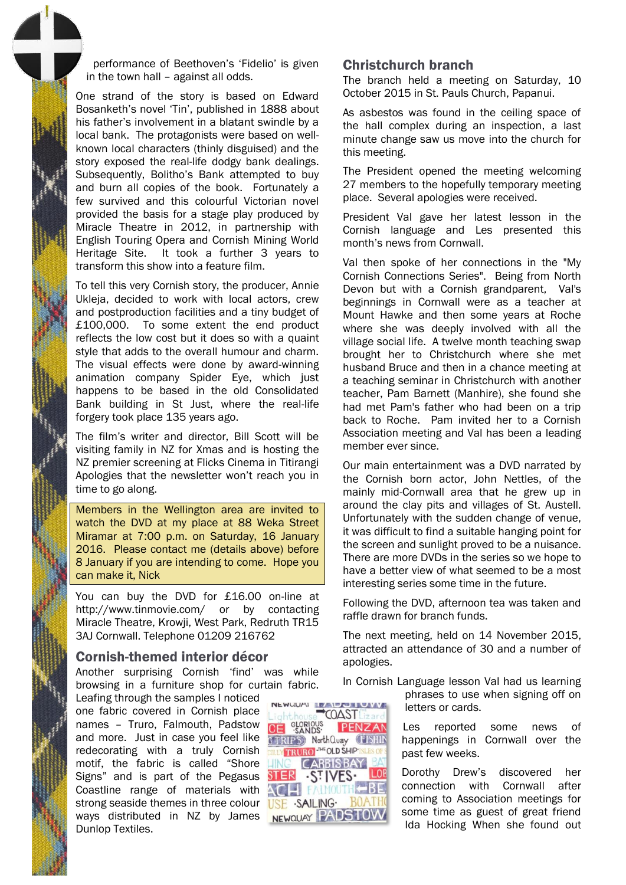performance of Beethoven's 'Fidelio' is given in the town hall – against all odds.

One strand of the story is based on Edward Bosanketh's novel 'Tin', published in 1888 about his father's involvement in a blatant swindle by a local bank. The protagonists were based on wellknown local characters (thinly disguised) and the story exposed the real-life dodgy bank dealings. Subsequently, Bolitho's Bank attempted to buy and burn all copies of the book. Fortunately a few survived and this colourful Victorian novel provided the basis for a stage play produced by Miracle Theatre in 2012, in partnership with English Touring Opera and Cornish Mining World Heritage Site. It took a further 3 years to transform this show into a feature film.

To tell this very Cornish story, the producer, Annie Ukleja, decided to work with local actors, crew and postproduction facilities and a tiny budget of £100,000. To some extent the end product reflects the low cost but it does so with a quaint style that adds to the overall humour and charm. The visual effects were done by award-winning animation company Spider Eye, which just happens to be based in the old Consolidated Bank building in St Just, where the real-life forgery took place 135 years ago.

The film's writer and director, Bill Scott will be visiting family in NZ for Xmas and is hosting the NZ premier screening at Flicks Cinema in Titirangi Apologies that the newsletter won't reach you in time to go along.

Members in the Wellington area are invited to watch the DVD at my place at 88 Weka Street Miramar at 7:00 p.m. on Saturday, 16 January 2016. Please contact me (details above) before 8 January if you are intending to come. Hope you can make it, Nick

You can buy the DVD for £16.00 on-line at http://www.tinmovie.com/ or by contacting Miracle Theatre, Krowji, West Park, Redruth TR15 3AJ Cornwall. Telephone 01209 216762

#### Cornish-themed interior décor

Another surprising Cornish 'find' was while browsing in a furniture shop for curtain fabric.

Leafing through the samples I noticed one fabric covered in Cornish place names – Truro, Falmouth, Padstow and more. Just in case you feel like redecorating with a truly Cornish motif, the fabric is called "Shore HING Signs" and is part of the Pegasus STER Coastline range of materials with  $ACH$ strong seaside themes in three colour USE SAILING ways distributed in NZ by James NEWQUAY PADSTOW Dunlop Textiles.

3

### Christchurch branch

The branch held a meeting on Saturday, 10 October 2015 in St. Pauls Church, Papanui.

As asbestos was found in the ceiling space of the hall complex during an inspection, a last minute change saw us move into the church for this meeting.

The President opened the meeting welcoming 27 members to the hopefully temporary meeting place. Several apologies were received.

President Val gave her latest lesson in the Cornish language and Les presented this month's news from Cornwall.

Val then spoke of her connections in the "My Cornish Connections Series". Being from North Devon but with a Cornish grandparent, Val's beginnings in Cornwall were as a teacher at Mount Hawke and then some years at Roche where she was deeply involved with all the village social life. A twelve month teaching swap brought her to Christchurch where she met husband Bruce and then in a chance meeting at a teaching seminar in Christchurch with another teacher, Pam Barnett (Manhire), she found she had met Pam's father who had been on a trip back to Roche. Pam invited her to a Cornish Association meeting and Val has been a leading member ever since.

Our main entertainment was a DVD narrated by the Cornish born actor, John Nettles, of the mainly mid-Cornwall area that he grew up in around the clay pits and villages of St. Austell. Unfortunately with the sudden change of venue, it was difficult to find a suitable hanging point for the screen and sunlight proved to be a nuisance. There are more DVDs in the series so we hope to have a better view of what seemed to be a most interesting series some time in the future.

Following the DVD, afternoon tea was taken and raffle drawn for branch funds.

The next meeting, held on 14 November 2015, attracted an attendance of 30 and a number of apologies.

In Cornish Language lesson Val had us learning

phrases to use when signing off on letters or cards.

Les reported some news of happenings in Cornwall over the past few weeks.

Dorothy Drew's discovered her connection with Cornwall after coming to Association meetings for some time as guest of great friend Ida Hocking When she found out

NEW WAY TO AST Lizard Lighthous **CE** GLORIOUS PENZAN **GTRIPS** NorthQuay (FISHIN CILLY TRURO THE OLD SHIP ISLES OF **CARBIS BAY** ll ni .STIVES-**FALMOUTHK BOATH**